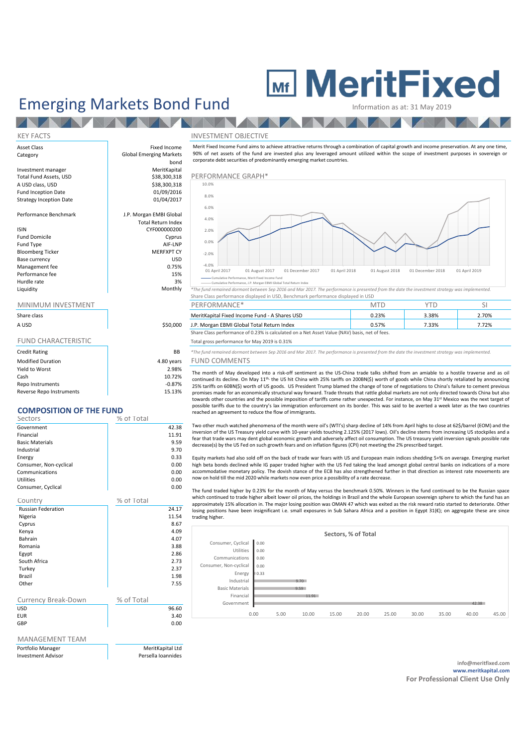# **MeritFixed**

## Emerging Markets Bond Fund Information as at: 31 May 2019

NZ.

KEY FACTS INVESTMENT OBJECTIVE Asset Class **Fixed Income** Category Global Emerging Markets bond<br>MeritKapital Investment manager and the manager MeritKapital Total Fund Assets, USD and Merit Merit Capital Assets (1990) 18<br>
Salah 1993, Salam Assets, USD and Merit Capital Assets (1990) 1994 \$38,300,318 PERFORMANCE GRAPH\*<br>\$38.300.318 10.0% A USD class, USD Fund Inception Date 01/09/2016<br>Strategy Inception Date 01/04/2017 Strategy Inception Date Performance Benchmark J.P. Morgan EMBI Global Total Return Index ISIN CYF000000200 Fund Domicile Cyprus Fund Type AIF-LNP Bloomberg Ticker MERFXPT CY<br>
Base currency MERFXPT CY Base currency and the set of the set of the set of the set of the set of the set of the set of the set of the s<br>
Management fee of the set of the set of the set of the set of the set of the set of the set of the set of the Management fee 6.75% and 0.75% and 0.75% and 0.75% and 0.75% and 0.75% and 0.75% and 0.75% and 0.75% and 0.75%  $\frac{15}{15}$ Performance fee Hurdle rate and the state of the state of the state of the state of the state of the state of the state of the state of the state of the state of the state of the state of the state of the state of the state of the state o and the section areas are the maintain of the seriomance, J.P. Morgan EBMI Global Total Return Index<br>Monthly \*The fund remained dormant between Sep 2016 and Mar 2017. The performance is presented from the date the investme Merit Fixed Income Fund aims to achieve attractive returns through a combination of capital growth and income preservation. At any one time, 90% of net assets of the fund are invested plus any leveraged amount utilized within the scope of investment purposes in sovereign or corporate debt securities of predominantly emerging market countries. -4.0% -2.0% 0.0% 2.0% 4.0% 6.0% 8.0% 10.0% Cumulative Performance, Merit Fixed Income Fund

## MINIMUM INVESTMENT

**AND** 

| Share class<br>A USD       | \$50,000   |
|----------------------------|------------|
| <b>FUND CHARACTERISTIC</b> |            |
| <b>Credit Rating</b>       | BB.        |
| <b>Modified Duration</b>   | 4.80 years |
| Yield to Worst             | 2.98%      |

| Yield to Worst           | 2.98%    |
|--------------------------|----------|
| Cash                     | 10.72%   |
| Repo Instruments         | $-0.87%$ |
| Reverse Repo Instruments | 15.13%   |
|                          |          |

## **COMPOSITION OF THE FUND**

| Sectors                | % of Total |
|------------------------|------------|
| Government             | 42.38      |
| Financial              | 11.91      |
| <b>Basic Materials</b> | 9.59       |
| Industrial             | 9.70       |
| Energy                 | 0.33       |
| Consumer, Non-cyclical | 0.00       |
| Communications         | 0.00       |
| <b>Utilities</b>       | 0.00       |
| Consumer, Cyclical     | 0.00       |

| Country                    | % of Total |       |
|----------------------------|------------|-------|
| <b>Russian Federation</b>  |            | 24.17 |
| Nigeria                    |            | 11.54 |
| Cyprus                     |            | 8.67  |
| Kenya                      |            | 4.09  |
| Bahrain                    |            | 4.07  |
| Romania                    |            | 3.88  |
| Egypt                      |            | 2.86  |
| South Africa               |            | 2.73  |
| Turkey                     |            | 2.37  |
| Brazil                     |            | 1.98  |
| Other                      |            | 7.55  |
|                            |            |       |
| <b>Currency Break-Down</b> | % of Total |       |
| <b>USD</b>                 |            | 96.60 |
| <b>EUR</b>                 |            | 3.40  |
| GBP                        |            | 0.00  |
|                            |            |       |
|                            |            |       |

## MANAGEMENT TEAM

| PORTIONO Manager  |
|-------------------|
| Invostmant Adviso |

MeritKanital Ltd Persella Ioannides



01 April 2017 01 August 2017 01 December 2017 01 April 2018 01 August 2018 01 December 2018 01 April 2019

Share Class performance displayed in USD, Benchmark performance displayed in USD

| MINIMUM INVESTMENT |          | PERFORMANCE <sup>®</sup>                                                                      |       |       |       |
|--------------------|----------|-----------------------------------------------------------------------------------------------|-------|-------|-------|
| Share class        |          | MeritKapital Fixed Income Fund - A Shares USD                                                 | J.23% | 3.38% | .70%  |
| A USD              | \$50,000 | J.P. Morgan EBMI Global Total Return Index                                                    |       | 7.33% | 7.72% |
|                    |          | Share Class performance of 0.23% is calculated on a Net Asset Value (NAV) basis, net of fees. |       |       |       |

### Total gross performance for May 2019 is 0.31%

**BB** \*The fund remained dormant between Sep 2016 and Mar 2017. The performance is presented from the date the investment strategy was implemented. ars FUND COMMENTS

The month of May developed into a risk-off sentiment as the US-China trade talks shifted from an amiable to a hostile traverse and as oil continued its decline. On May 11<sup>th,</sup> the US hit China with 25% tariffs on 200BN(\$) worth of goods while China shortly retaliated by announcing 25% tariffs on 60BN(\$) worth of US goods. US President Trump blamed the change of tone of negotiations to China's failure to cement previous promises made for an economically structural way forward. Trade threats that rattle global markets are not only directed towards China but also towards other countries and the possible imposition of tariffs come rather unexpected. For instance, on May 31st Mexico was the next target of possible tariffs due to the country's lax immigration enforcement on its border. This was said to be averted a week later as the two countries reached an agreement to reduce the flow of immigrants.

Two other much watched phenomena of the month were oil's (WTI's) sharp decline of 14% from April highs to close at 62\$/barrel (EOM) and the inversion of the US Treasury yield curve with 10-year yields touching 2.125% (2017 lows). Oil's decline stems from increasing US stockpiles and a fear that trade wars may dent global economic growth and adversely affect oil consumption. The US treasury yield inversion signals possible rate decrease(s) by the US Fed on such growth fears and on inflation figures (CPI) not meeting the 2% prescribed target.

Equity markets had also sold off on the back of trade war fears with US and European main indices shedding 5+% on average. Emerging market high beta bonds declined while IG paper traded higher with the US Fed taking the lead amongst global central banks on indications of a more accommodative monetary policy. The dovish stance of the ECB has also strengthened further in that direction as interest rate movements are now on hold till the mid 2020 while markets now even price a possibility of a rate decrease.

The fund traded higher by 0.23% for the month of May versus the benchmark 0.50%. Winners in the fund continued to be the Russian space which continued to trade higher albeit lower oil prices, the holdings in Brazil and the whole European sovereign sphere to which the fund has an approximately 15% allocation in. The major losing position was OMAN 47 which was exited as the risk reward ratio started to deteriorate. Other losing positions have been insignificant i.e. small exposures in Sub Sahara Africa and a position in Egypt 31(€); on aggregate these are since trading higher.



**info@meritfixed.com www.meritkapital.com For Professional Client Use Only**